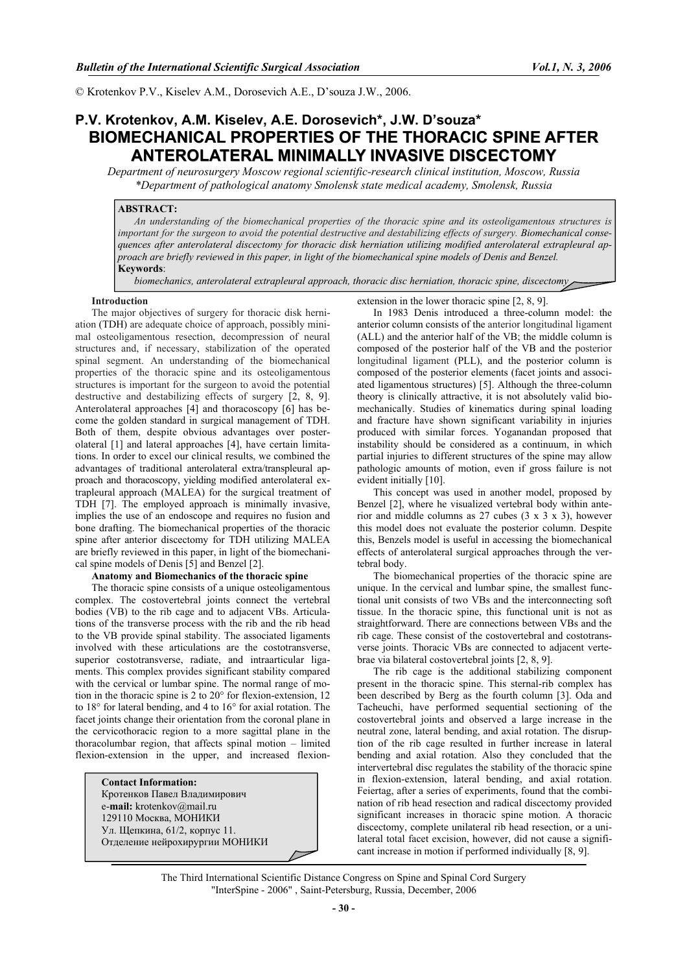© Krotenkov P.V., Kiselev A.M., Dorosevich A.E., D'souza J.W., 2006.

# **P.V. Krotenkov, A.M. Kiselev, A.E. Dorosevich\*, J.W. D'souza\* BIOMECHANICAL PROPERTIES OF THE THORACIC SPINE AFTER THE THORACIC SPINE AFTER ANTEROLATERAL MINIMALLY INVASIVE DISCECTOMY ANTEROLATERAL MINIMALLY INVASIVE DISCECTOMY**

*Department of neurosurgery Moscow regional scientific-research clinical institution, Moscow, Russia \*Department of pathological anatomy Smolensk state medical academy, Smolensk, Russia* 

## **ABSTRACT:**

*An understanding of the biomechanical properties of the thoracic spine and its osteoligamentous structures is important for the surgeon to avoid the potential destructive and destabilizing effects of surgery. Biomechanical consequences after anterolateral discectomy for thoracic disk herniation utilizing modified anterolateral extrapleural approach are briefly reviewed in this paper, in light of the biomechanical spine models of Denis and Benzel.*  **Keywords**:

*biomechanics, anterolateral extrapleural approach, thoracic disc herniation, thoracic spine, discectomy* 

### **Introduction**

The major objectives of surgery for thoracic disk herniation (TDH) are adequate choice of approach, possibly minimal osteoligamentous resection, decompression of neural structures and, if necessary, stabilization of the operated spinal segment. An understanding of the biomechanical properties of the thoracic spine and its osteoligamentous structures is important for the surgeon to avoid the potential destructive and destabilizing effects of surgery [2, 8, 9]. Anterolateral approaches [4] and thoracoscopy [6] has become the golden standard in surgical management of TDH. Both of them, despite obvious advantages over posterolateral [1] and lateral approaches [4], have certain limitations. In order to excel our clinical results, we combined the advantages of traditional anterolateral extra/transpleural approach and thoracoscopy, yielding modified anterolateral extrapleural approach (MALEA) for the surgical treatment of TDH [7]. The employed approach is minimally invasive, implies the use of an endoscope and requires no fusion and bone drafting. The biomechanical properties of the thoracic spine after anterior discectomy for TDH utilizing MALEA are briefly reviewed in this paper, in light of the biomechanical spine models of Denis [5] and Benzel [2].

### **Anatomy and Biomechanics of the thoracic spine**

The thoracic spine consists of a unique osteoligamentous complex. The costovertebral joints connect the vertebral bodies (VB) to the rib cage and to adjacent VBs. Articulations of the transverse process with the rib and the rib head to the VB provide spinal stability. The associated ligaments involved with these articulations are the costotransverse, superior costotransverse, radiate, and intraarticular ligaments. This complex provides significant stability compared with the cervical or lumbar spine. The normal range of motion in the thoracic spine is 2 to 20° for flexion-extension, 12 to 18° for lateral bending, and 4 to 16° for axial rotation. The facet joints change their orientation from the coronal plane in the cervicothoracic region to a more sagittal plane in the thoracolumbar region, that affects spinal motion – limited flexion-extension in the upper, and increased flexion-

**Contact Information:**  Кротенков Павел Владимирович e-**mail:** krotenkov@mail.ru 129110 Москва, МОНИКИ Ул. Щепкина, 61/2, корпус 11. Отделение нейрохирургии МОНИКИ extension in the lower thoracic spine [2, 8, 9].

In 1983 Denis introduced a three-column model: the anterior column consists of the anterior longitudinal ligament (ALL) and the anterior half of the VB; the middle column is composed of the posterior half of the VB and the posterior longitudinal ligament (PLL), and the posterior column is composed of the posterior elements (facet joints and associated ligamentous structures) [5]. Although the three-column theory is clinically attractive, it is not absolutely valid biomechanically. Studies of kinematics during spinal loading and fracture have shown significant variability in injuries produced with similar forces. Yoganandan proposed that instability should be considered as a continuum, in which partial injuries to different structures of the spine may allow pathologic amounts of motion, even if gross failure is not evident initially [10].

This concept was used in another model, proposed by Benzel [2], where he visualized vertebral body within anterior and middle columns as 27 cubes  $(3 \times 3 \times 3)$ , however this model does not evaluate the posterior column. Despite this, Benzels model is useful in accessing the biomechanical effects of anterolateral surgical approaches through the vertebral body.

The biomechanical properties of the thoracic spine are unique. In the cervical and lumbar spine, the smallest functional unit consists of two VBs and the interconnecting soft tissue. In the thoracic spine, this functional unit is not as straightforward. There are connections between VBs and the rib cage. These consist of the costovertebral and costotransverse joints. Thoracic VBs are connected to adjacent vertebrae via bilateral costovertebral joints [2, 8, 9].

The rib cage is the additional stabilizing component present in the thoracic spine. This sternal-rib complex has been described by Berg as the fourth column [3]. Oda and Tacheuchi, have performed sequential sectioning of the costovertebral joints and observed a large increase in the neutral zone, lateral bending, and axial rotation. The disruption of the rib cage resulted in further increase in lateral bending and axial rotation. Also they concluded that the intervertebral disc regulates the stability of the thoracic spine in flexion-extension, lateral bending, and axial rotation. Feiertag, after a series of experiments, found that the combination of rib head resection and radical discectomy provided significant increases in thoracic spine motion. A thoracic discectomy, complete unilateral rib head resection, or a unilateral total facet excision, however, did not cause a significant increase in motion if performed individually [8, 9].

The Third International Scientific Distance Congress on Spine and Spinal Cord Surgery "InterSpine - 2006" , Saint-Petersburg, Russia, December, 2006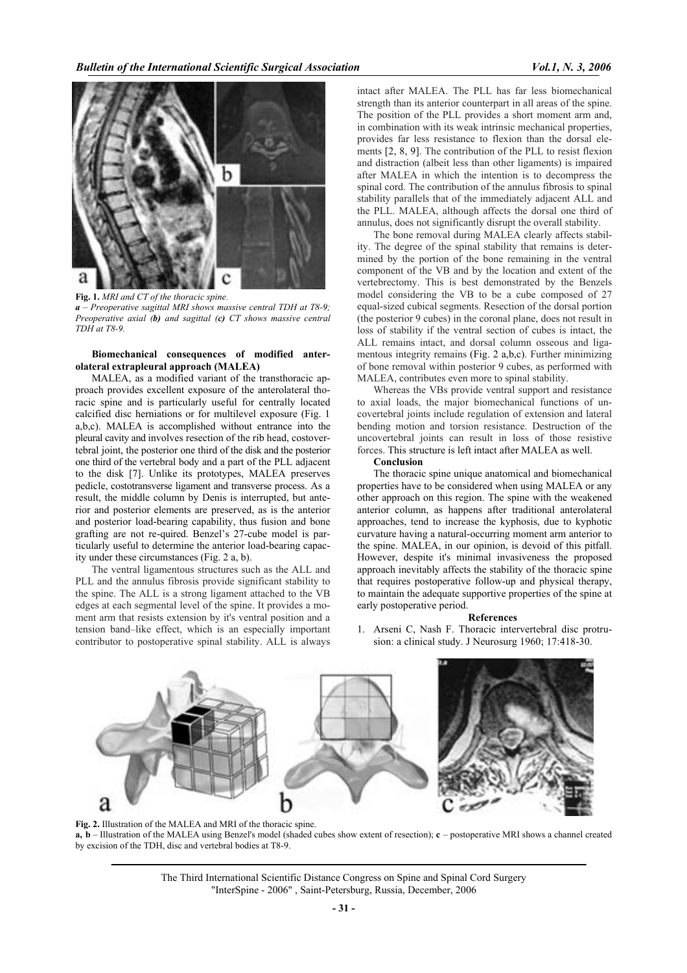

**Fig. 1.** *MRI and CT of the thoracic spine. a – Preoperative sagittal MRI shows massive central TDH at T8-9; Preoperative axial (b) and sagittal (c) CT shows massive central TDH at T8-9.* 

### **Biomechanical consequences of modified anterolateral extrapleural approach (MALEA)**

MALEA, as a modified variant of the transthoracic approach provides excellent exposure of the anterolateral thoracic spine and is particularly useful for centrally located calcified disc herniations or for multilevel exposure (Fig. 1 a,b,c). MALEA is accomplished without entrance into the pleural cavity and involves resection of the rib head, costovertebral joint, the posterior one third of the disk and the posterior one third of the vertebral body and a part of the PLL adjacent to the disk [7]. Unlike its prototypes, MALEA preserves pedicle, costotransverse ligament and transverse process. As a result, the middle column by Denis is interrupted, but anterior and posterior elements are preserved, as is the anterior and posterior load-bearing capability, thus fusion and bone grafting are not re-quired. Benzel's 27-cube model is particularly useful to determine the anterior load-bearing capacity under these circumstances (Fig. 2 a, b).

The ventral ligamentous structures such as the ALL and PLL and the annulus fibrosis provide significant stability to the spine. The ALL is a strong ligament attached to the VB edges at each segmental level of the spine. It provides a moment arm that resists extension by it's ventral position and a tension band–like effect, which is an especially important contributor to postoperative spinal stability. ALL is always intact after MALEA. The PLL has far less biomechanical strength than its anterior counterpart in all areas of the spine. The position of the PLL provides a short moment arm and, in combination with its weak intrinsic mechanical properties, provides far less resistance to flexion than the dorsal elements [2, 8, 9]. The contribution of the PLL to resist flexion and distraction (albeit less than other ligaments) is impaired after MALEA in which the intention is to decompress the spinal cord. The contribution of the annulus fibrosis to spinal stability parallels that of the immediately adjacent ALL and the PLL. MALEA, although affects the dorsal one third of annulus, does not significantly disrupt the overall stability.

The bone removal during MALEA clearly affects stability. The degree of the spinal stability that remains is determined by the portion of the bone remaining in the ventral component of the VB and by the location and extent of the vertebrectomy. This is best demonstrated by the Benzels model considering the VB to be a cube composed of 27 equal-sized cubical segments. Resection of the dorsal portion (the posterior 9 cubes) in the coronal plane, does not result in loss of stability if the ventral section of cubes is intact, the ALL remains intact, and dorsal column osseous and ligamentous integrity remains (Fig. 2 a,b,c). Further minimizing of bone removal within posterior 9 cubes, as performed with MALEA, contributes even more to spinal stability.

Whereas the VBs provide ventral support and resistance to axial loads, the major biomechanical functions of uncovertebral joints include regulation of extension and lateral bending motion and torsion resistance. Destruction of the uncovertebral joints can result in loss of those resistive forces. This structure is left intact after MALEA as well.

#### **Conclusion**

The thoracic spine unique anatomical and biomechanical properties have to be considered when using MALEA or any other approach on this region. The spine with the weakened anterior column, as happens after traditional anterolateral approaches, tend to increase the kyphosis, due to kyphotic curvature having a natural-occurring moment arm anterior to the spine. MALEA, in our opinion, is devoid of this pitfall. However, despite it's minimal invasiveness the proposed approach inevitably affects the stability of the thoracic spine that requires postoperative follow-up and physical therapy, to maintain the adequate supportive properties of the spine at early postoperative period.

### **References**

1. Arseni C, Nash F. Thoracic intervertebral disc protrusion: a clinical study. J Neurosurg 1960; 17:418-30.



**Fig. 2.** Illustration of the MALEA and MRI of the thoracic spine. **a, b** – Illustration of the MALEA using Benzel's model (shaded cubes show extent of resection); **c** – postoperative MRI shows a channel created by excision of the TDH, disc and vertebral bodies at T8-9.

The Third International Scientific Distance Congress on Spine and Spinal Cord Surgery "InterSpine - 2006" , Saint-Petersburg, Russia, December, 2006